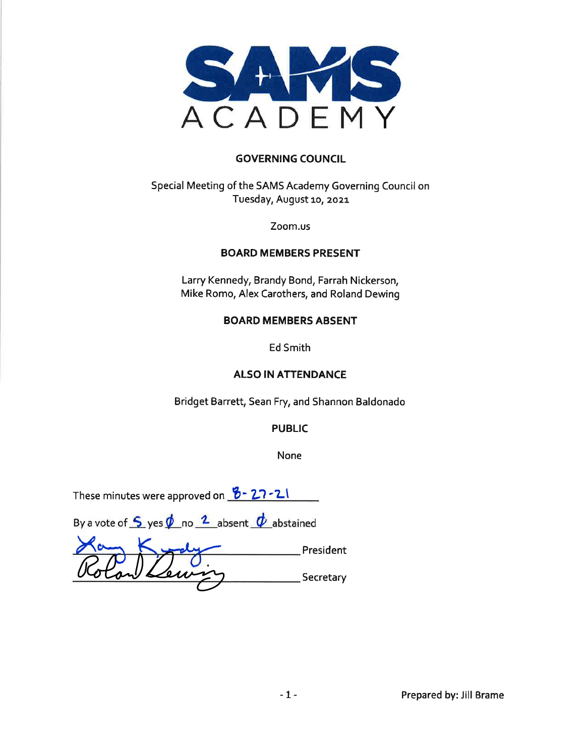

#### **GOVERNING COUNCIL**

Special Meeting of the SAMS Academy Governing Council on Tuesday, August 10, 2021

Zoom.us

#### **BOARD MEMBERS PRESENT**

Larry Kennedy, Brandy Bond, Farrah Nickerson, Mike Romo, Alex Carothers, and Roland Dewing

#### **BOARD MEMBERS ABSENT**

**Ed Smith** 

#### **ALSO IN ATTENDANCE**

Bridget Barrett, Sean Fry, and Shannon Baldonado

#### **PUBLIC**

None

| These minutes were approved on $8 - 27 - 21$ |  |  |  |
|----------------------------------------------|--|--|--|
|----------------------------------------------|--|--|--|

By a vote of  $\frac{6}{5}$  yes  $\oint$  no  $\frac{2}{5}$  absent  $\oint$  abstained

President Secretary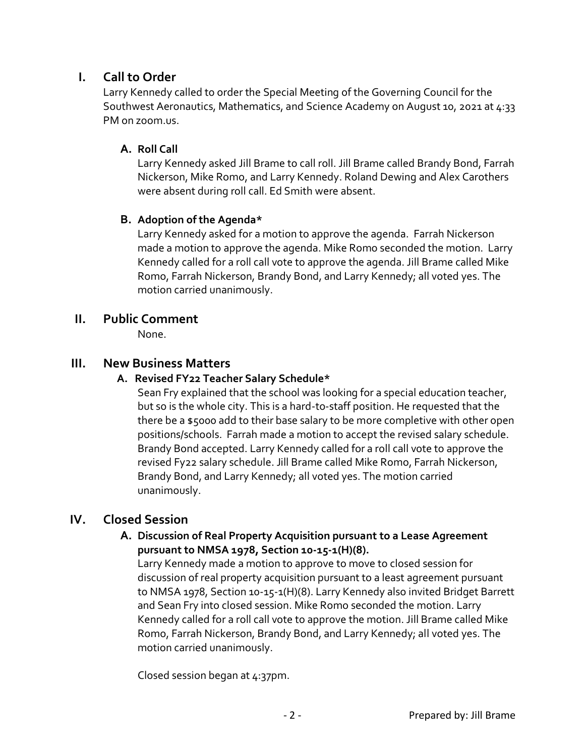# **I. Call to Order**

Larry Kennedy called to order the Special Meeting of the Governing Council for the Southwest Aeronautics, Mathematics, and Science Academy on August 10, 2021 at 4:33 PM on zoom.us.

### **A. Roll Call**

Larry Kennedy asked Jill Brame to call roll. Jill Brame called Brandy Bond, Farrah Nickerson, Mike Romo, and Larry Kennedy. Roland Dewing and Alex Carothers were absent during roll call. Ed Smith were absent.

## **B. Adoption of the Agenda\***

Larry Kennedy asked for a motion to approve the agenda. Farrah Nickerson made a motion to approve the agenda. Mike Romo seconded the motion. Larry Kennedy called for a roll call vote to approve the agenda. Jill Brame called Mike Romo, Farrah Nickerson, Brandy Bond, and Larry Kennedy; all voted yes. The motion carried unanimously.

## **II. Public Comment**

None.

## **III. New Business Matters**

#### **A. Revised FY22 Teacher Salary Schedule\***

Sean Fry explained that the school was looking for a special education teacher, but so is the whole city. This is a hard-to-staff position. He requested that the there be a \$5000 add to their base salary to be more completive with other open positions/schools. Farrah made a motion to accept the revised salary schedule. Brandy Bond accepted. Larry Kennedy called for a roll call vote to approve the revised Fy22 salary schedule. Jill Brame called Mike Romo, Farrah Nickerson, Brandy Bond, and Larry Kennedy; all voted yes. The motion carried unanimously.

# **IV. Closed Session**

#### **A. Discussion of Real Property Acquisition pursuant to a Lease Agreement pursuant to NMSA 1978, Section 10-15-1(H)(8).**

Larry Kennedy made a motion to approve to move to closed session for discussion of real property acquisition pursuant to a least agreement pursuant to NMSA 1978, Section 10-15-1(H)(8). Larry Kennedy also invited Bridget Barrett and Sean Fry into closed session. Mike Romo seconded the motion. Larry Kennedy called for a roll call vote to approve the motion. Jill Brame called Mike Romo, Farrah Nickerson, Brandy Bond, and Larry Kennedy; all voted yes. The motion carried unanimously.

Closed session began at 4:37pm.